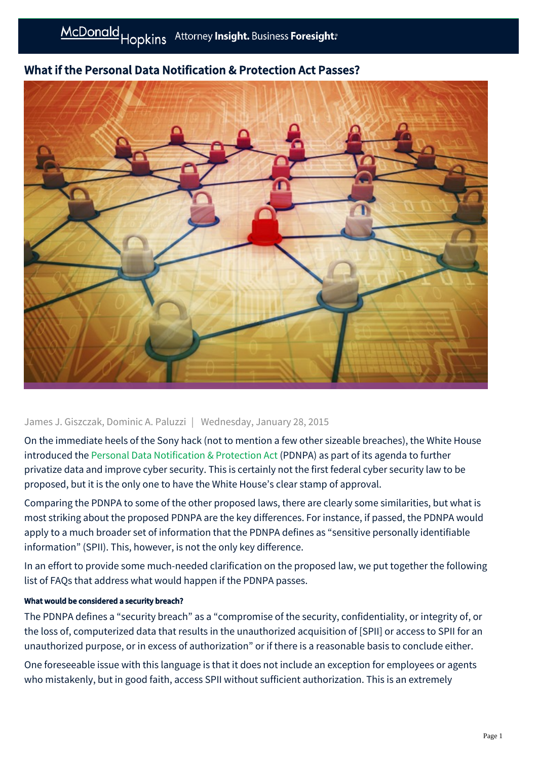# What if the Personal Data Notification & Protection Act Passes?

# James J. Giszczak, Dominic A. Paluzzi | Wednesday, January 28, 2015

On the immediate heels of the Sony hack (not to mention a few other sizeable breaches), the White House introduced the [Personal Data Notification & Protection Act](http://www.whitehouse.gov/sites/default/files/omb/legislative/letters/updated-data-breach-notification.pdf) (PDNPA) as part of its agenda to further privatize data and improve cyber security. This is certainly not the first federal cyber security law to be proposed, but it is the only one to have the White House's clear stamp of approval.

Comparing the PDNPA to some of the other proposed laws, there are clearly some similarities, but what is most striking about the proposed PDNPA are the key differences. For instance, if passed, the PDNPA would apply to a much broader set of information that the PDNPA defines as "sensitive personally identifiable information" (SPII). This, however, is not the only key difference.

In an effort to provide some much-needed clarification on the proposed law, we put together the following list of FAQs that address what would happen if the PDNPA passes.

# What would be considered a security breach?

The PDNPA defines a "security breach" as a "compromise of the security, confidentiality, or integrity of, or the loss of, computerized data that results in the unauthorized acquisition of [SPII] or access to SPII for an unauthorized purpose, or in excess of authorization" or if there is a reasonable basis to conclude either.

One foreseeable issue with this language is that it does not include an exception for employees or agents who mistakenly, but in good faith, access SPII without sufficient authorization. This is an extremely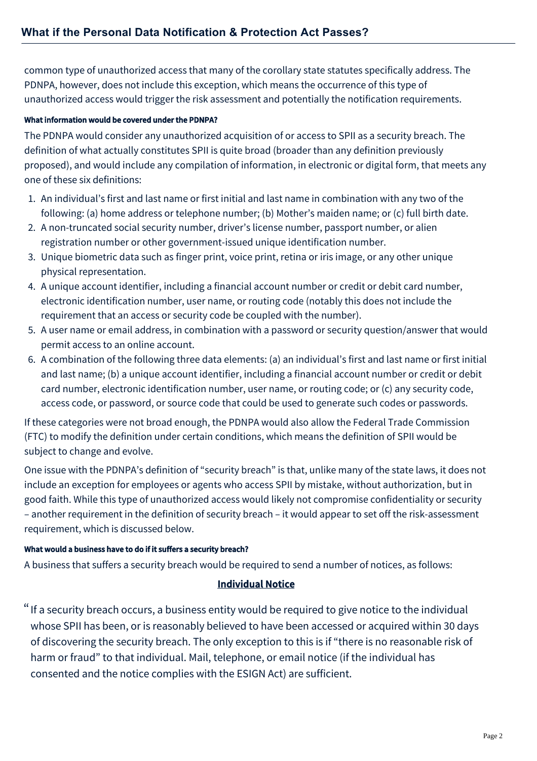common type of unauthorized access that many of the corollary state statutes specifically address. The PDNPA, however, does not include this exception, which means the occurrence of this type of unauthorized access would trigger the risk assessment and potentially the notification requirements.

#### What information would be covered under the PDNPA?

The PDNPA would consider any unauthorized acquisition of or access to SPII as a security breach. The definition of what actually constitutes SPII is quite broad (broader than any definition previously proposed), and would include any compilation of information, in electronic or digital form, that meets any one of these six definitions:

- 1. An individual's first and last name or first initial and last name in combination with any two of the following: (a) home address or telephone number; (b) Mother's maiden name; or (c) full birth date.
- 2. A non-truncated social security number, driver's license number, passport number, or alien registration number or other government-issued unique identification number.
- 3. Unique biometric data such as finger print, voice print, retina or iris image, or any other unique physical representation.
- 4. A unique account identifier, including a financial account number or credit or debit card number, electronic identification number, user name, or routing code (notably this does not include the requirement that an access or security code be coupled with the number).
- 5. A user name or email address, in combination with a password or security question/answer that would permit access to an online account.
- 6. A combination of the following three data elements: (a) an individual's first and last name or first initial and last name; (b) a unique account identifier, including a financial account number or credit or debit card number, electronic identification number, user name, or routing code; or (c) any security code, access code, or password, or source code that could be used to generate such codes or passwords.

If these categories were not broad enough, the PDNPA would also allow the Federal Trade Commission (FTC) to modify the definition under certain conditions, which means the definition of SPII would be subject to change and evolve.

One issue with the PDNPA's definition of "security breach" is that, unlike many of the state laws, it does not include an exception for employees or agents who access SPII by mistake, without authorization, but in good faith. While this type of unauthorized access would likely not compromise confidentiality or security – another requirement in the definition of security breach – it would appear to set off the risk-assessment requirement, which is discussed below.

### What would a business have to do if it suffers a security breach?

A business that suffers a security breach would be required to send a number of notices, as follows:

### Individual Notice

"If a security breach occurs, a business entity would be required to give notice to the individual whose SPII has been, or is reasonably believed to have been accessed or acquired within 30 days of discovering the security breach. The only exception to this is if "there is no reasonable risk of harm or fraud" to that individual. Mail, telephone, or email notice (if the individual has consented and the notice complies with the ESIGN Act) are sufficient.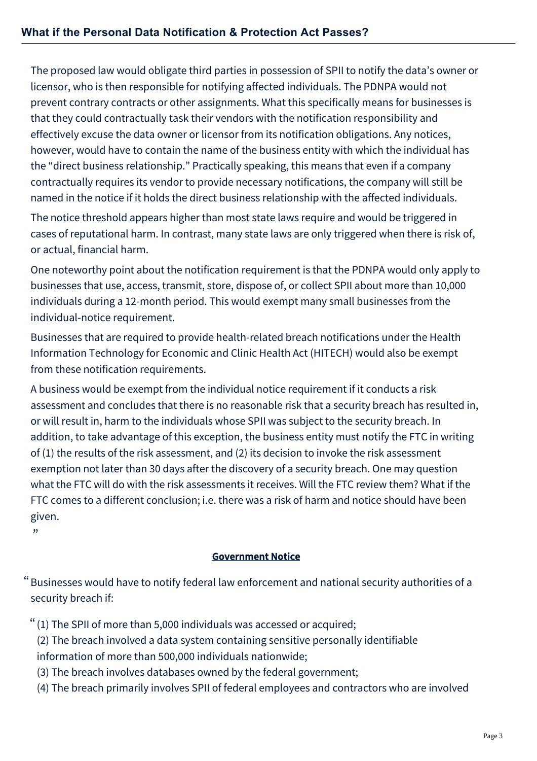The proposed law would obligate third parties in possession of SPII to notify the data's owner or licensor, who is then responsible for notifying affected individuals. The PDNPA would not prevent contrary contracts or other assignments. What this specifically means for businesses is that they could contractually task their vendors with the notification responsibility and effectively excuse the data owner or licensor from its notification obligations. Any notices, however, would have to contain the name of the business entity with which the individual has the "direct business relationship." Practically speaking, this means that even if a company contractually requires its vendor to provide necessary notifications, the company will still be named in the notice if it holds the direct business relationship with the affected individuals.

The notice threshold appears higher than most state laws require and would be triggered in cases of reputational harm. In contrast, many state laws are only triggered when there is risk of, or actual, financial harm.

One noteworthy point about the notification requirement is that the PDNPA would only apply to businesses that use, access, transmit, store, dispose of, or collect SPII about more than 10,000 individuals during a 12-month period. This would exempt many small businesses from the individual-notice requirement.

Businesses that are required to provide health-related breach notifications under the Health Information Technology for Economic and Clinic Health Act (HITECH) would also be exempt from these notification requirements.

A business would be exempt from the individual notice requirement if it conducts a risk assessment and concludes that there is no reasonable risk that a security breach has resulted in, or will result in, harm to the individuals whose SPII was subject to the security breach. In addition, to take advantage of this exception, the business entity must notify the FTC in writing of (1) the results of the risk assessment, and (2) its decision to invoke the risk assessment exemption not later than 30 days after the discovery of a security breach. One may question what the FTC will do with the risk assessments it receives. Will the FTC review them? What if the FTC comes to a different conclusion; i.e. there was a risk of harm and notice should have been given.

 $"$ 

# Government Notice

 $\lq\lq$  Businesses would have to notify federal law enforcement and national security authorities of a security breach if:

- $"$  (1) The SPII of more than 5,000 individuals was accessed or acquired;
	- (2) The breach involved a data system containing sensitive personally identifiable information of more than 500,000 individuals nationwide;
	- (3) The breach involves databases owned by the federal government;
	- (4) The breach primarily involves SPII of federal employees and contractors who are involved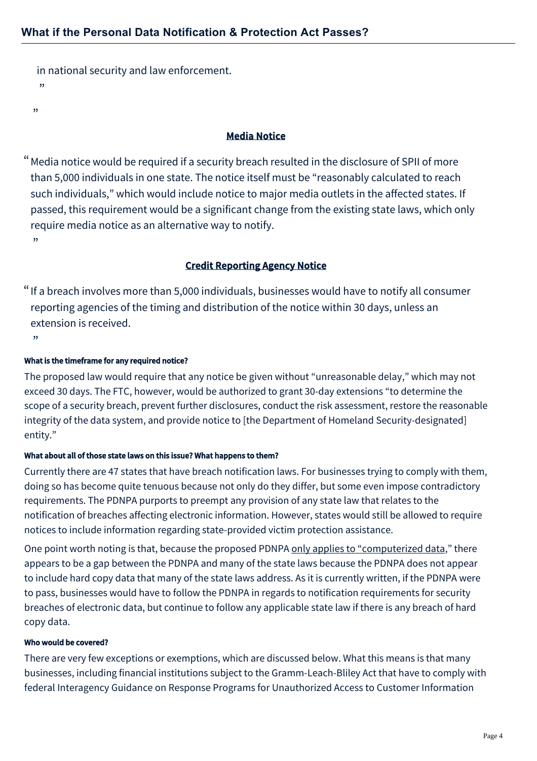in national security and law enforcement. <sub>"</sub> "

### Media Notice

Media notice would be required if a security breach resulted in the disclosure of SPII of more " than 5,000 individuals in one state. The notice itself must be "reasonably calculated to reach such individuals," which would include notice to major media outlets in the affected states. If passed, this requirement would be a significant change from the existing state laws, which only require media notice as an alternative way to notify.  $"$ 

### Credit Reporting Agency Notice

 $"$  If a breach involves more than 5,000 individuals, businesses would have to notify all consumer reporting agencies of the timing and distribution of the notice within 30 days, unless an extension is received.

"

#### What is the timeframe for any required notice?

The proposed law would require that any notice be given without "unreasonable delay," which may not exceed 30 days. The FTC, however, would be authorized to grant 30-day extensions "to determine the scope of a security breach, prevent further disclosures, conduct the risk assessment, restore the reasonable integrity of the data system, and provide notice to [the Department of Homeland Security-designated] entity."

#### What about all of those state laws on this issue? What happens to them?

Currently there are 47 states that have breach notification laws. For businesses trying to comply with them, doing so has become quite tenuous because not only do they differ, but some even impose contradictory requirements. The PDNPA purports to preempt any provision of any state law that relates to the notification of breaches affecting electronic information. However, states would still be allowed to require notices to include information regarding state-provided victim protection assistance.

One point worth noting is that, because the proposed PDNPA only applies to "computerized data," there appears to be a gap between the PDNPA and many of the state laws because the PDNPA does not appear to include hard copy data that many of the state laws address. As it is currently written, if the PDNPA were to pass, businesses would have to follow the PDNPA in regards to notification requirements for security breaches of electronic data, but continue to follow any applicable state law if there is any breach of hard copy data.

#### Who would be covered?

There are very few exceptions or exemptions, which are discussed below. What this means is that many businesses, including financial institutions subject to the Gramm-Leach-Bliley Act that have to comply with federal Interagency Guidance on Response Programs for Unauthorized Access to Customer Information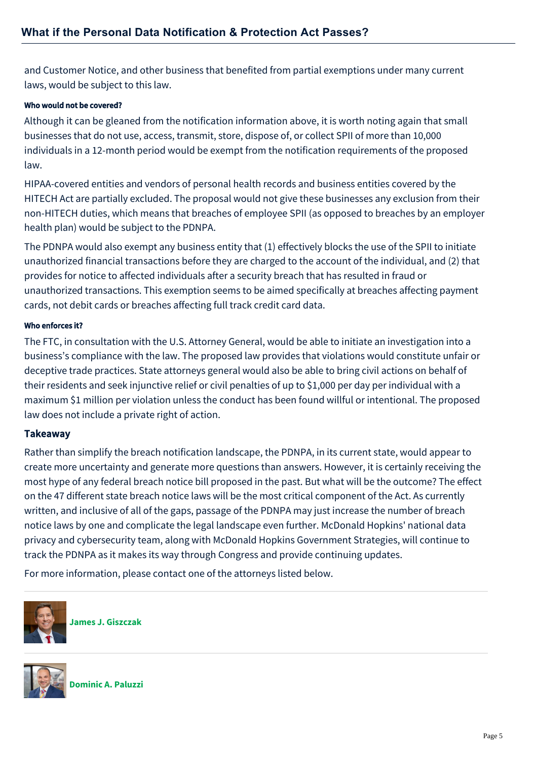and Customer Notice, and other business that benefited from partial exemptions under many current laws, would be subject to this law.

#### Who would not be covered?

Although it can be gleaned from the notification information above, it is worth noting again that small businesses that do not use, access, transmit, store, dispose of, or collect SPII of more than 10,000 individuals in a 12-month period would be exempt from the notification requirements of the proposed law.

HIPAA-covered entities and vendors of personal health records and business entities covered by the HITECH Act are partially excluded. The proposal would not give these businesses any exclusion from their non-HITECH duties, which means that breaches of employee SPII (as opposed to breaches by an employer health plan) would be subject to the PDNPA.

The PDNPA would also exempt any business entity that (1) effectively blocks the use of the SPII to initiate unauthorized financial transactions before they are charged to the account of the individual, and (2) that provides for notice to affected individuals after a security breach that has resulted in fraud or unauthorized transactions. This exemption seems to be aimed specifically at breaches affecting payment cards, not debit cards or breaches affecting full track credit card data.

#### Who enforces it?

The FTC, in consultation with the U.S. Attorney General, would be able to initiate an investigation into a business's compliance with the law. The proposed law provides that violations would constitute unfair or deceptive trade practices. State attorneys general would also be able to bring civil actions on behalf of their residents and seek injunctive relief or civil penalties of up to \$1,000 per day per individual with a maximum \$1 million per violation unless the conduct has been found willful or intentional. The proposed law does not include a private right of action.

### **Takeaway**

Rather than simplify the breach notification landscape, the PDNPA, in its current state, would appear to create more uncertainty and generate more questions than answers. However, it is certainly receiving the most hype of any federal breach notice bill proposed in the past. But what will be the outcome? The effect on the 47 different state breach notice laws will be the most critical component of the Act. As currently written, and inclusive of all of the gaps, passage of the PDNPA may just increase the number of breach notice laws by one and complicate the legal landscape even further. McDonald Hopkins' national data privacy and cybersecurity team, along with McDonald Hopkins Government Strategies, will continue to track the PDNPA as it makes its way through Congress and provide continuing updates.

For more information, please contact one of the attorneys listed below.



**[James J. Giszczak](https://mcdonaldhopkins.com/Team/Attorney/j/James-Giszczak)**



**[Dominic A. Paluzzi](https://mcdonaldhopkins.com/Team/Attorney/d/Dominic-Paluzzi)**